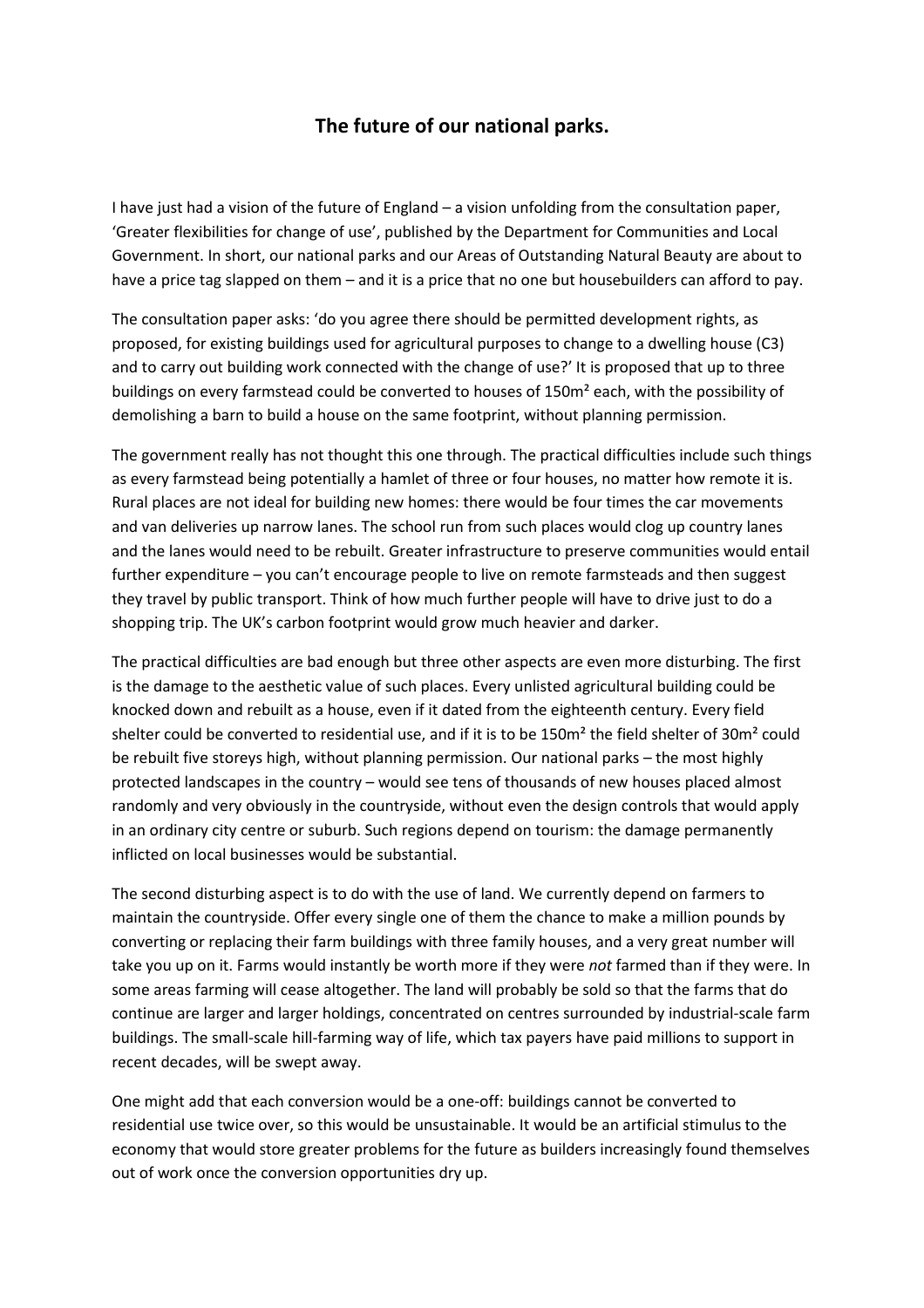## **The future of our national parks.**

I have just had a vision of the future of England – a vision unfolding from the consultation paper, 'Greater flexibilities for change of use', published by the Department for Communities and Local Government. In short, our national parks and our Areas of Outstanding Natural Beauty are about to have a price tag slapped on them – and it is a price that no one but housebuilders can afford to pay.

The consultation paper asks: 'do you agree there should be permitted development rights, as proposed, for existing buildings used for agricultural purposes to change to a dwelling house (C3) and to carry out building work connected with the change of use?' It is proposed that up to three buildings on every farmstead could be converted to houses of 150m² each, with the possibility of demolishing a barn to build a house on the same footprint, without planning permission.

The government really has not thought this one through. The practical difficulties include such things as every farmstead being potentially a hamlet of three or four houses, no matter how remote it is. Rural places are not ideal for building new homes: there would be four times the car movements and van deliveries up narrow lanes. The school run from such places would clog up country lanes and the lanes would need to be rebuilt. Greater infrastructure to preserve communities would entail further expenditure – you can't encourage people to live on remote farmsteads and then suggest they travel by public transport. Think of how much further people will have to drive just to do a shopping trip. The UK's carbon footprint would grow much heavier and darker.

The practical difficulties are bad enough but three other aspects are even more disturbing. The first is the damage to the aesthetic value of such places. Every unlisted agricultural building could be knocked down and rebuilt as a house, even if it dated from the eighteenth century. Every field shelter could be converted to residential use, and if it is to be 150m² the field shelter of 30m² could be rebuilt five storeys high, without planning permission. Our national parks – the most highly protected landscapes in the country – would see tens of thousands of new houses placed almost randomly and very obviously in the countryside, without even the design controls that would apply in an ordinary city centre or suburb. Such regions depend on tourism: the damage permanently inflicted on local businesses would be substantial.

The second disturbing aspect is to do with the use of land. We currently depend on farmers to maintain the countryside. Offer every single one of them the chance to make a million pounds by converting or replacing their farm buildings with three family houses, and a very great number will take you up on it. Farms would instantly be worth more if they were *not* farmed than if they were. In some areas farming will cease altogether. The land will probably be sold so that the farms that do continue are larger and larger holdings, concentrated on centres surrounded by industrial-scale farm buildings. The small-scale hill-farming way of life, which tax payers have paid millions to support in recent decades, will be swept away.

One might add that each conversion would be a one-off: buildings cannot be converted to residential use twice over, so this would be unsustainable. It would be an artificial stimulus to the economy that would store greater problems for the future as builders increasingly found themselves out of work once the conversion opportunities dry up.